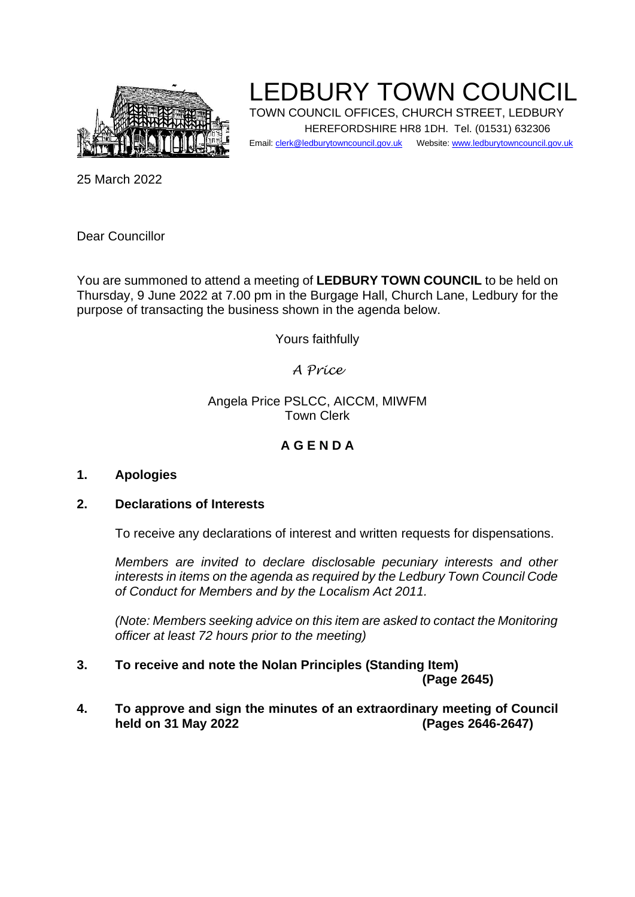

LEDBURY TOWN COUNCIL

TOWN COUNCIL OFFICES, CHURCH STREET, LEDBURY HEREFORDSHIRE HR8 1DH. Tel. (01531) 632306

Email: clerk@ledburytowncouncil.gov.uk Website: www.ledburytowncouncil.gov.uk

25 March 2022

Dear Councillor

You are summoned to attend a meeting of **LEDBURY TOWN COUNCIL** to be held on Thursday, 9 June 2022 at 7.00 pm in the Burgage Hall, Church Lane, Ledbury for the purpose of transacting the business shown in the agenda below.

Yours faithfully

### *A Price*

#### Angela Price PSLCC, AICCM, MIWFM Town Clerk

## **A G E N D A**

#### **1. Apologies**

#### **2. Declarations of Interests**

To receive any declarations of interest and written requests for dispensations.

*Members are invited to declare disclosable pecuniary interests and other interests in items on the agenda as required by the Ledbury Town Council Code of Conduct for Members and by the Localism Act 2011.* 

*(Note: Members seeking advice on this item are asked to contact the Monitoring officer at least 72 hours prior to the meeting)*

- **3. To receive and note the Nolan Principles (Standing Item) (Page 2645)**
- **4. To approve and sign the minutes of an extraordinary meeting of Council held on 31 May 2022 (Pages 2646-2647)**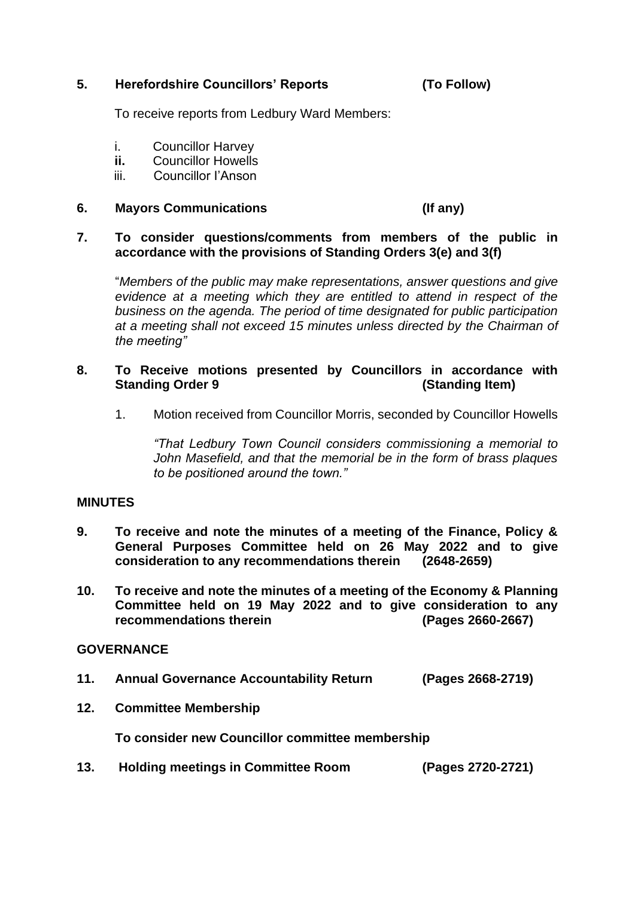#### **5. Herefordshire Councillors' Reports (To Follow)**

To receive reports from Ledbury Ward Members:

- i. Councillor Harvey
- **ii.** Councillor Howells
- iii. Councillor I'Anson

#### **6. Mayors Communications (If any)**

#### **7. To consider questions/comments from members of the public in accordance with the provisions of Standing Orders 3(e) and 3(f)**

"*Members of the public may make representations, answer questions and give evidence at a meeting which they are entitled to attend in respect of the business on the agenda. The period of time designated for public participation at a meeting shall not exceed 15 minutes unless directed by the Chairman of the meeting"*

#### **8. To Receive motions presented by Councillors in accordance with Standing Order 9** *(Standing Item)*

1. Motion received from Councillor Morris, seconded by Councillor Howells

*"That Ledbury Town Council considers commissioning a memorial to John Masefield, and that the memorial be in the form of brass plaques to be positioned around the town."*

#### **MINUTES**

- **9. To receive and note the minutes of a meeting of the Finance, Policy & General Purposes Committee held on 26 May 2022 and to give consideration to any recommendations therein (2648-2659)**
- **10. To receive and note the minutes of a meeting of the Economy & Planning Committee held on 19 May 2022 and to give consideration to any recommendations therein (Pages 2660-2667)**

#### **GOVERNANCE**

- **11. Annual Governance Accountability Return (Pages 2668-2719)**
- **12. Committee Membership**

**To consider new Councillor committee membership**

**13. Holding meetings in Committee Room (Pages 2720-2721)**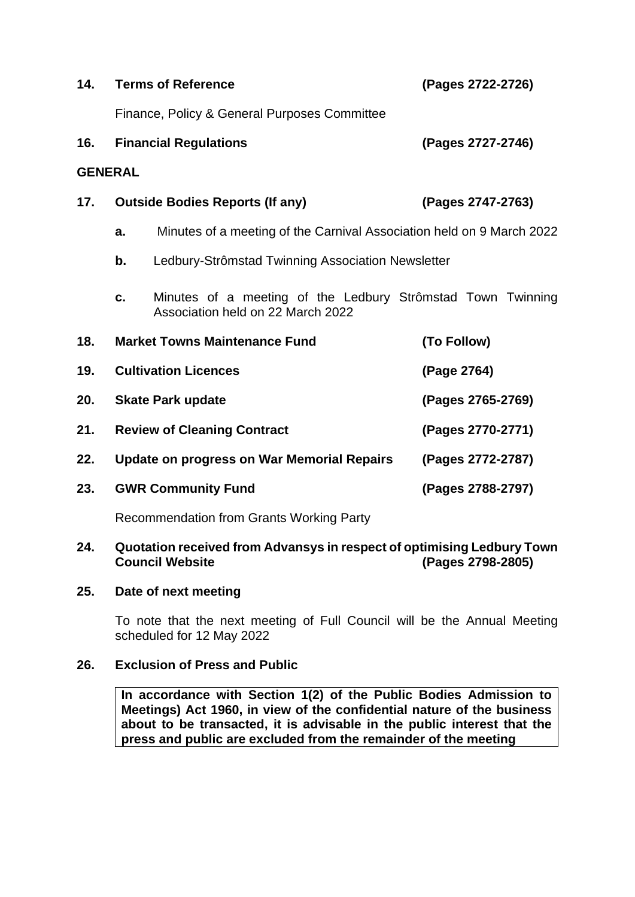| 14.            |                                                         | <b>Terms of Reference</b>                                                                        | (Pages 2722-2726) |
|----------------|---------------------------------------------------------|--------------------------------------------------------------------------------------------------|-------------------|
|                | Finance, Policy & General Purposes Committee            |                                                                                                  |                   |
| 16.            | <b>Financial Regulations</b>                            |                                                                                                  | (Pages 2727-2746) |
| <b>GENERAL</b> |                                                         |                                                                                                  |                   |
| 17.            |                                                         | <b>Outside Bodies Reports (If any)</b>                                                           | (Pages 2747-2763) |
|                | a.                                                      | Minutes of a meeting of the Carnival Association held on 9 March 2022                            |                   |
|                | b.<br>Ledbury-Strômstad Twinning Association Newsletter |                                                                                                  |                   |
|                | c.                                                      | Minutes of a meeting of the Ledbury Strômstad Town Twinning<br>Association held on 22 March 2022 |                   |
| 18.            |                                                         | <b>Market Towns Maintenance Fund</b>                                                             | (To Follow)       |
| 19.            | <b>Cultivation Licences</b>                             |                                                                                                  | (Page 2764)       |
| 20.            | <b>Skate Park update</b>                                |                                                                                                  | (Pages 2765-2769) |
| 21.            | <b>Review of Cleaning Contract</b>                      |                                                                                                  | (Pages 2770-2771) |
| 22.            | <b>Update on progress on War Memorial Repairs</b>       |                                                                                                  | (Pages 2772-2787) |
| 23.            |                                                         | <b>GWR Community Fund</b>                                                                        | (Pages 2788-2797) |
|                |                                                         | <b>Recommendation from Grants Working Party</b>                                                  |                   |

## **24. Quotation received from Advansys in respect of optimising Ledbury Town**

# **25. Date of next meeting**

To note that the next meeting of Full Council will be the Annual Meeting scheduled for 12 May 2022

**Council Website (Pages 2798-2805)**

## **26. Exclusion of Press and Public**

**In accordance with Section 1(2) of the Public Bodies Admission to Meetings) Act 1960, in view of the confidential nature of the business about to be transacted, it is advisable in the public interest that the press and public are excluded from the remainder of the meeting**